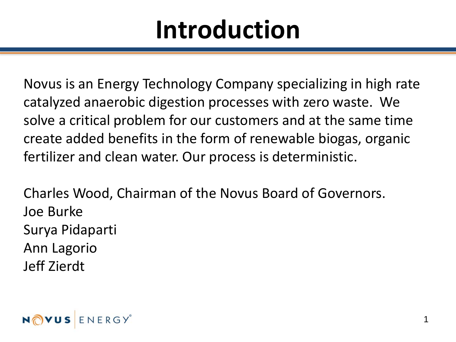#### **Introduction**

Novus is an Energy Technology Company specializing in high rate catalyzed anaerobic digestion processes with zero waste. We solve a critical problem for our customers and at the same time create added benefits in the form of renewable biogas, organic fertilizer and clean water. Our process is deterministic.

Charles Wood, Chairman of the Novus Board of Governors. Joe Burke Surya Pidaparti Ann Lagorio Jeff Zierdt

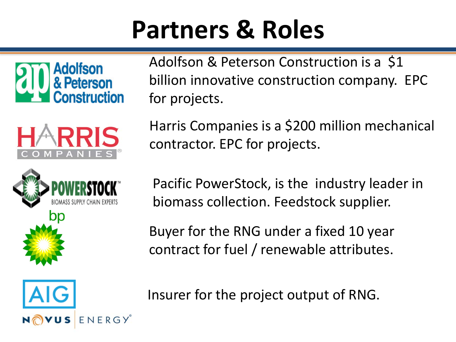#### **Partners & Roles**







Adolfson & Peterson Construction is a \$1 billion innovative construction company. EPC for projects.

Harris Companies is a \$200 million mechanical contractor. EPC for projects.

Pacific PowerStock, is the industry leader in biomass collection. Feedstock supplier.

Buyer for the RNG under a fixed 10 year contract for fuel / renewable attributes.



Insurer for the project output of RNG.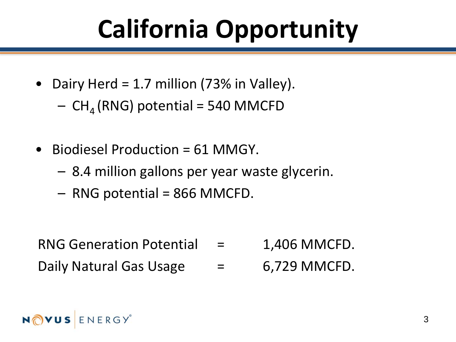## **California Opportunity**

- Dairy Herd = 1.7 million (73% in Valley).
	- $-$  CH<sub>4</sub> (RNG) potential = 540 MMCFD
- Biodiesel Production = 61 MMGY.
	- 8.4 million gallons per year waste glycerin.
	- RNG potential = 866 MMCFD.

- RNG Generation Potential  $=$  1,406 MMCFD.
- Daily Natural Gas Usage  $\qquad =$  6,729 MMCFD.

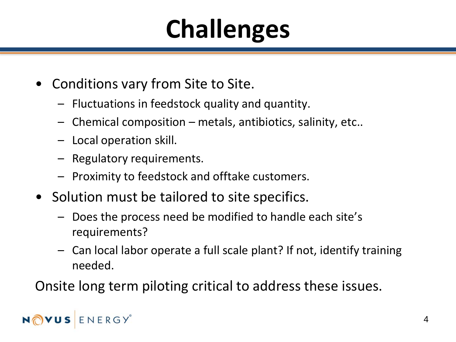## **Challenges**

- Conditions vary from Site to Site.
	- Fluctuations in feedstock quality and quantity.
	- Chemical composition metals, antibiotics, salinity, etc..
	- Local operation skill.
	- Regulatory requirements.
	- Proximity to feedstock and offtake customers.
- Solution must be tailored to site specifics.
	- Does the process need be modified to handle each site's requirements?
	- Can local labor operate a full scale plant? If not, identify training needed.

Onsite long term piloting critical to address these issues.

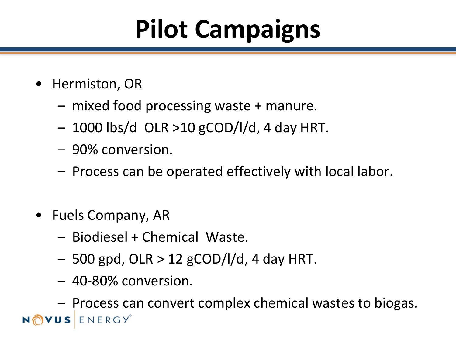## **Pilot Campaigns**

- Hermiston, OR
	- mixed food processing waste + manure.
	- $-$  1000 lbs/d OLR >10 gCOD/l/d, 4 day HRT.
	- 90% conversion.
	- Process can be operated effectively with local labor.
- Fuels Company, AR
	- Biodiesel + Chemical Waste.
	- $-$  500 gpd, OLR  $>$  12 gCOD/l/d, 4 day HRT.
	- 40-80% conversion.

– Process can convert complex chemical wastes to biogas.USENERGY®